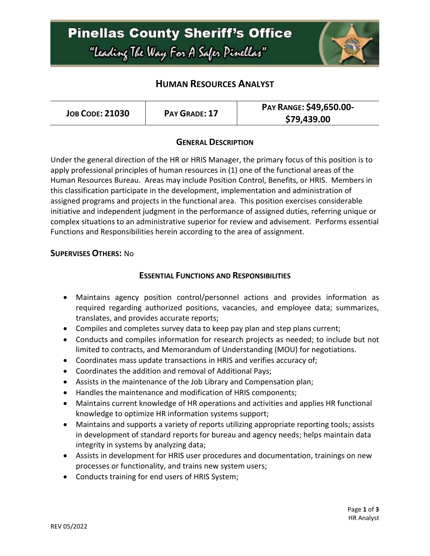# **Pinellas County Sheriff's Office** "Leading The Way For A Safer Pinellar"



## **HUMAN RESOURCES ANALYST**

| PAY RANGE: \$49,650.00-<br><b>JOB CODE: 21030</b><br>PAY GRADE: 17<br>\$79,439.00 |
|-----------------------------------------------------------------------------------|
|-----------------------------------------------------------------------------------|

#### **GENERAL DESCRIPTION**

Under the general direction of the HR or HRIS Manager, the primary focus of this position is to apply professional principles of human resources in (1) one of the functional areas of the Human Resources Bureau. Areas may include Position Control, Benefits, or HRIS. Members in this classification participate in the development, implementation and administration of assigned programs and projects in the functional area. This position exercises considerable initiative and independent judgment in the performance of assigned duties, referring unique or complex situations to an administrative superior for review and advisement. Performs essential Functions and Responsibilities herein according to the area of assignment.

#### **SUPERVISES OTHERS:** No

#### **ESSENTIAL FUNCTIONS AND RESPONSIBILITIES**

- Maintains agency position control/personnel actions and provides information as required regarding authorized positions, vacancies, and employee data; summarizes, translates, and provides accurate reports;
- Compiles and completes survey data to keep pay plan and step plans current;
- Conducts and compiles information for research projects as needed; to include but not limited to contracts, and Memorandum of Understanding (MOU) for negotiations.
- Coordinates mass update transactions in HRIS and verifies accuracy of;
- Coordinates the addition and removal of Additional Pays;
- Assists in the maintenance of the Job Library and Compensation plan;
- Handles the maintenance and modification of HRIS components;
- Maintains current knowledge of HR operations and activities and applies HR functional knowledge to optimize HR information systems support;
- Maintains and supports a variety of reports utilizing appropriate reporting tools; assists in development of standard reports for bureau and agency needs; helps maintain data integrity in systems by analyzing data;
- Assists in development for HRIS user procedures and documentation, trainings on new processes or functionality, and trains new system users;
- Conducts training for end users of HRIS System;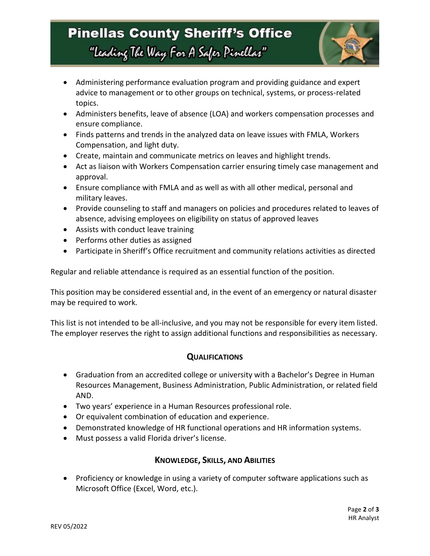# **Pinellas County Sheriff's Office** "Leading The Way For A Safer Pinellar"



- Administering performance evaluation program and providing guidance and expert advice to management or to other groups on technical, systems, or process-related topics.
- Administers benefits, leave of absence (LOA) and workers compensation processes and ensure compliance.
- Finds patterns and trends in the analyzed data on leave issues with FMLA, Workers Compensation, and light duty.
- Create, maintain and communicate metrics on leaves and highlight trends.
- Act as liaison with Workers Compensation carrier ensuring timely case management and approval.
- Ensure compliance with FMLA and as well as with all other medical, personal and military leaves.
- Provide counseling to staff and managers on policies and procedures related to leaves of absence, advising employees on eligibility on status of approved leaves
- Assists with conduct leave training
- Performs other duties as assigned
- Participate in Sheriff's Office recruitment and community relations activities as directed

Regular and reliable attendance is required as an essential function of the position.

This position may be considered essential and, in the event of an emergency or natural disaster may be required to work.

This list is not intended to be all-inclusive, and you may not be responsible for every item listed. The employer reserves the right to assign additional functions and responsibilities as necessary.

### **QUALIFICATIONS**

- Graduation from an accredited college or university with a Bachelor's Degree in Human Resources Management, Business Administration, Public Administration, or related field AND.
- Two years' experience in a Human Resources professional role.
- Or equivalent combination of education and experience.
- Demonstrated knowledge of HR functional operations and HR information systems.
- Must possess a valid Florida driver's license.

### **KNOWLEDGE, SKILLS, AND ABILITIES**

• Proficiency or knowledge in using a variety of computer software applications such as Microsoft Office (Excel, Word, etc.).